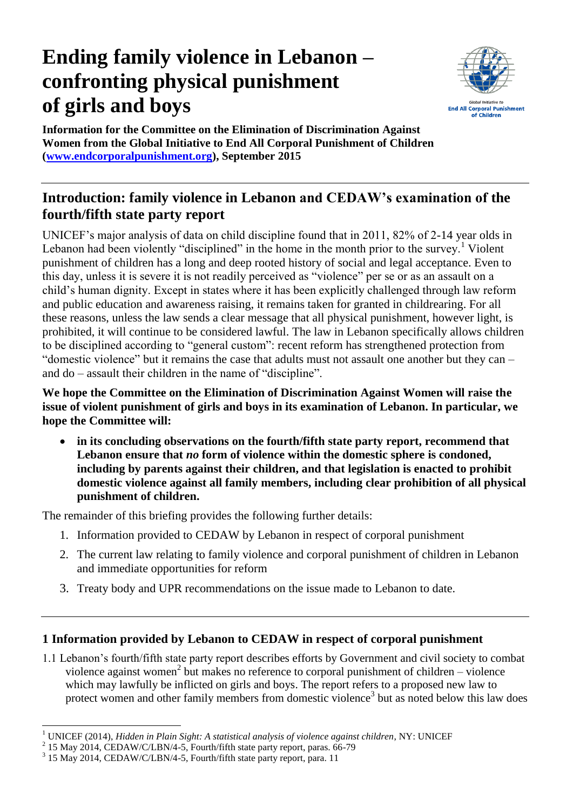# **Ending family violence in Lebanon – confronting physical punishment of girls and boys**



**Information for the Committee on the Elimination of Discrimination Against Women from the Global Initiative to End All Corporal Punishment of Children [\(www.endcorporalpunishment.org\)](http://www.endcorporalpunishment.org/), September 2015**

## **Introduction: family violence in Lebanon and CEDAW's examination of the fourth/fifth state party report**

UNICEF's major analysis of data on child discipline found that in 2011, 82% of 2-14 year olds in Lebanon had been violently "disciplined" in the home in the month prior to the survey.<sup>1</sup> Violent punishment of children has a long and deep rooted history of social and legal acceptance. Even to this day, unless it is severe it is not readily perceived as "violence" per se or as an assault on a child's human dignity. Except in states where it has been explicitly challenged through law reform and public education and awareness raising, it remains taken for granted in childrearing. For all these reasons, unless the law sends a clear message that all physical punishment, however light, is prohibited, it will continue to be considered lawful. The law in Lebanon specifically allows children to be disciplined according to "general custom": recent reform has strengthened protection from "domestic violence" but it remains the case that adults must not assault one another but they can – and do – assault their children in the name of "discipline".

**We hope the Committee on the Elimination of Discrimination Against Women will raise the issue of violent punishment of girls and boys in its examination of Lebanon. In particular, we hope the Committee will:**

 **in its concluding observations on the fourth/fifth state party report, recommend that Lebanon ensure that** *no* **form of violence within the domestic sphere is condoned, including by parents against their children, and that legislation is enacted to prohibit domestic violence against all family members, including clear prohibition of all physical punishment of children.**

The remainder of this briefing provides the following further details:

- 1. Information provided to CEDAW by Lebanon in respect of corporal punishment
- 2. The current law relating to family violence and corporal punishment of children in Lebanon and immediate opportunities for reform
- 3. Treaty body and UPR recommendations on the issue made to Lebanon to date.

### **1 Information provided by Lebanon to CEDAW in respect of corporal punishment**

1.1 Lebanon's fourth/fifth state party report describes efforts by Government and civil society to combat violence against women<sup>2</sup> but makes no reference to corporal punishment of children – violence which may lawfully be inflicted on girls and boys. The report refers to a proposed new law to protect women and other family members from domestic violence<sup>3</sup> but as noted below this law does

 $\ddot{\phantom{a}}$ <sup>1</sup> UNICEF (2014), *Hidden in Plain Sight: A statistical analysis of violence against children*, NY: UNICEF

<sup>&</sup>lt;sup>2</sup> 15 May 2014, CEDAW/C/LBN/4-5, Fourth/fifth state party report, paras. 66-79

<sup>&</sup>lt;sup>3</sup> 15 May 2014, CEDAW/C/LBN/4-5, Fourth/fifth state party report, para. 11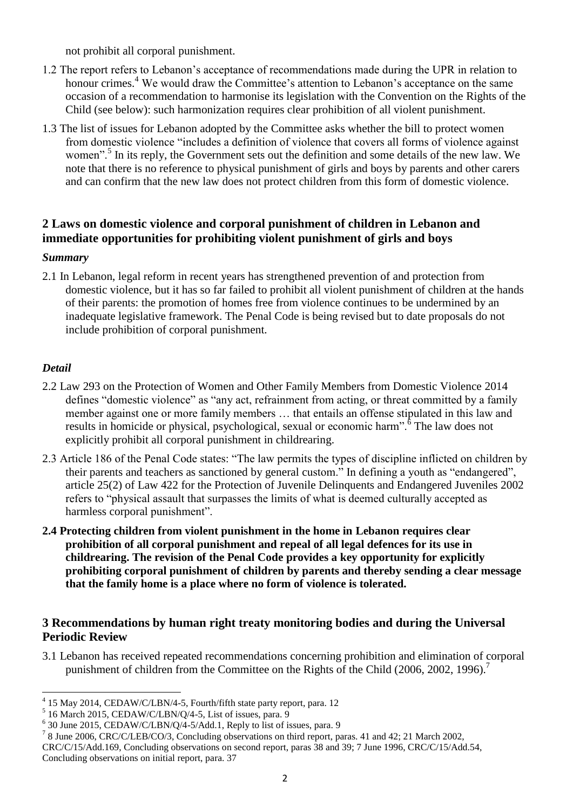not prohibit all corporal punishment.

- 1.2 The report refers to Lebanon's acceptance of recommendations made during the UPR in relation to honour crimes.<sup>4</sup> We would draw the Committee's attention to Lebanon's acceptance on the same occasion of a recommendation to harmonise its legislation with the Convention on the Rights of the Child (see below): such harmonization requires clear prohibition of all violent punishment.
- 1.3 The list of issues for Lebanon adopted by the Committee asks whether the bill to protect women from domestic violence "includes a definition of violence that covers all forms of violence against women".<sup>5</sup> In its reply, the Government sets out the definition and some details of the new law. We note that there is no reference to physical punishment of girls and boys by parents and other carers and can confirm that the new law does not protect children from this form of domestic violence.

#### **2 Laws on domestic violence and corporal punishment of children in Lebanon and immediate opportunities for prohibiting violent punishment of girls and boys**

#### *Summary*

2.1 In Lebanon, legal reform in recent years has strengthened prevention of and protection from domestic violence, but it has so far failed to prohibit all violent punishment of children at the hands of their parents: the promotion of homes free from violence continues to be undermined by an inadequate legislative framework. The Penal Code is being revised but to date proposals do not include prohibition of corporal punishment.

#### *Detail*

- 2.2 Law 293 on the Protection of Women and Other Family Members from Domestic Violence 2014 defines "domestic violence" as "any act, refrainment from acting, or threat committed by a family member against one or more family members … that entails an offense stipulated in this law and results in homicide or physical, psychological, sexual or economic harm".<sup>6</sup> The law does not explicitly prohibit all corporal punishment in childrearing.
- 2.3 Article 186 of the Penal Code states: "The law permits the types of discipline inflicted on children by their parents and teachers as sanctioned by general custom." In defining a youth as "endangered", article 25(2) of Law 422 for the Protection of Juvenile Delinquents and Endangered Juveniles 2002 refers to "physical assault that surpasses the limits of what is deemed culturally accepted as harmless corporal punishment".
- **2.4 Protecting children from violent punishment in the home in Lebanon requires clear prohibition of all corporal punishment and repeal of all legal defences for its use in childrearing. The revision of the Penal Code provides a key opportunity for explicitly prohibiting corporal punishment of children by parents and thereby sending a clear message that the family home is a place where no form of violence is tolerated.**

#### **3 Recommendations by human right treaty monitoring bodies and during the Universal Periodic Review**

3.1 Lebanon has received repeated recommendations concerning prohibition and elimination of corporal punishment of children from the Committee on the Rights of the Child (2006, 2002, 1996).<sup>7</sup>

 4 15 May 2014, CEDAW/C/LBN/4-5, Fourth/fifth state party report, para. 12

<sup>&</sup>lt;sup>5</sup> 16 March 2015, CEDAW/C/LBN/Q/4-5, List of issues, para. 9

<sup>&</sup>lt;sup>6</sup> 30 June 2015, CEDAW/C/LBN/Q/4-5/Add.1, Reply to list of issues, para. 9

<sup>&</sup>lt;sup>7</sup> 8 June 2006, CRC/C/LEB/CO/3, Concluding observations on third report, paras. 41 and 42; 21 March 2002,

CRC/C/15/Add.169, Concluding observations on second report, paras 38 and 39; 7 June 1996, CRC/C/15/Add.54, Concluding observations on initial report, para. 37